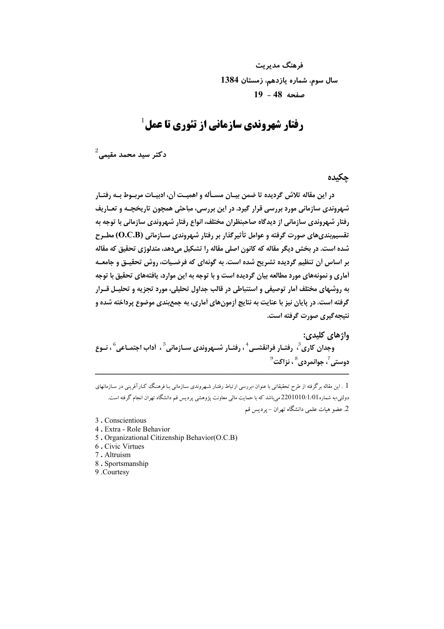فرهنگ مدیریت سال سوم، شماره یازدهم، زمستان 1384 صفحه 48 - 19

# $^1$ رفتار شهروندی سازمانی از تئوری تا عمل

 $^2$ دكتر سيد محمد مقيمى

حكىدە

در این مقاله تلاش گردیده تا ضمن بیـان مسـأله و اهمیـت آن، ادبیـات مربـوط بـه رفتـار شهروندی سازمانی مورد بررسی قرار گیرد. در این بررسی، مباحثی همچون تاریخچـه و تعـاریف رفتار شهروندی سازمانی از دیدگاه صاحبنظران مختلف، انواع رفتار شهروندی سازمانی با توجه به تقسیم بندیهای صورت گرفته و عوامل تأثیرگذار بر رفتار شهروندی سـازمانی (O.C.B) مطـرح شده است. در بخش دیگر مقاله که کانون اصلی مقاله را تشکیل میدهد، متدلوژی تحقیق که مقاله بر اساس أن تنظیم گردیده تشریح شده است. به گونهای که فرضـیات، روش تحقیــق و جامعــه آماری و نمونههای مورد مطالعه بیان گردیده است و با توجه به این موارد، یافتههای تحقیق با توجه به روشهای مختلف آمار توصیفی و استنباطی در قالب جداول تحلیلی، مورد تجزیه و تحلیـل قــرار گرفته است. در پایان نیز با عنایت به نتایج آزمونهای آماری، به جمع بندی موضوع پرداخته شده و نتيجه گيري صورت گرفته است.

واژهای کلیدی:

وجدان کاری ؒ، رفتـار فرانقشـي '' ، رفتـار شـهروندي سـازماني ؒ ، أداب اجتمـاعي ؒ ، نـوع  $^9$ دوستي ً، جوانمردي ً ، نزاكت

. این مقاله برگرفته از طرح تحقیقاتی با عنوان «بررسی ارتباط رفتـار شـهروندی سـازمانی بـا فرهنـگ کـارآفرینی در سـازمانهای دولتي»به شماره 2201010/1/01 مي باشد كه با حمايت مالي معاونت يژوهشي پرديس قم دانشگاه تهران انجام گرفته است. 2. عضو هیات علمی دانشگاه تهران – پردیس قم

- 3. Conscientious
- 4. Extra Role Behavior
- 5. Organizational Citizenship Behavior(O.C.B)
- 6. Civic Virtues
- 7. Altruism
- 8. Sportsmanship
- 9 Courtesy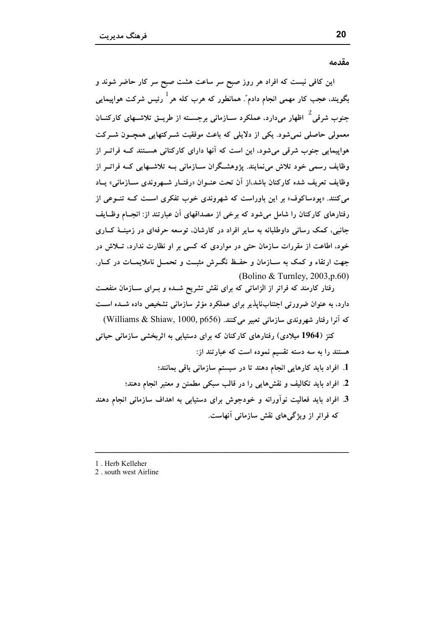مقدمه

این کافی نیست که افراد هر روز صبح سر ساعت هشت صبح سر کار حاضر شوند و بگویند، عجب کار مهمی انجام دادم ؒ. همانطور که هرب کله هر <sup>1</sup> رئیس شرکت هواپیمایی جنوب شرقی <sup>2</sup> اظهار می دارد، عملکرد سـازمانی برجســته از طریــق تلاشــهای کارکنــان معمولی حاصلی نمی شود. یکی از دلایلی که باعث موفقیت شـرکتهایی همچـون شـرکت هواپیمایی جنوب شرقی می شود، این است که آنها دارای کارکنانی هستند کـه فراتـر از وظایف رسمی خود تلاش مینمایند. پژوهشگران ســازمانی بــه تلاشــهایی کــه فراتــر از وظايف تعريف شده كاركنان باشد،از آن تحت عنــوان «رفتــار شـــهروندي ســازماني» يــاد می کنند. «یودساکوف» بر این باوراست که شهروندی خوب تفکری است کــه تنــوعی از رفتارهای کارکنان را شامل میشود که برخی از مصداقهای آن عبارتند از: انجـام وظـایف جانبي، کمک رساني داوطلبانه به ساير افراد در کارشان، توسعه حرفهاي در زمينــهٔ کـــاري خود، اطاعت از مقررات سازمان حتی در مواردی که کسی بر او نظارت ندارد، تــلاش در جهت ارتقاء و کمک به ســازمان و حفــظ نگــرش مثبــت و تحمــل ناملایمــات در کــار. (Bolino & Turnley,  $2003$ , p.60)

رفتار کارمند که فراتر از الزاماتی که برای نقش تشریح شــده و بــرای ســازمان منفعــت دارد، به عنوان ضرورتی اجتنابناپذیر برای عملکرد مؤثر سازمانی تشخیص داده شـده اسـت كه آنرا رفتار شهروندي سازماني تعبير مي كنند. (Williams & Shiaw, 1000, p656)

کتز (1964 میلادی) رفتارهای کارکنان که برای دستیابی به اثربخشی سازمانی حیاتی هستند را به سه دسته تقسیم نموده است که عبارتند از:

- 1. افراد باید کارهایی انجام دهند تا در سیستم سازمانی باقی بمانند؛ 2. افراد باید تکالیف و نقشهایی را در قالب سبکی مطمئن و معتبر انجام دهند؛
- 3. افراد باید فعالیت نوآورانه و خودجوش برای دستیابی به اهداف سازمانی انجام دهند که فراتر از ویژگی های نقش سازمانی آنهاست.
- 1. Herb Kelleher
- 2. south west Airline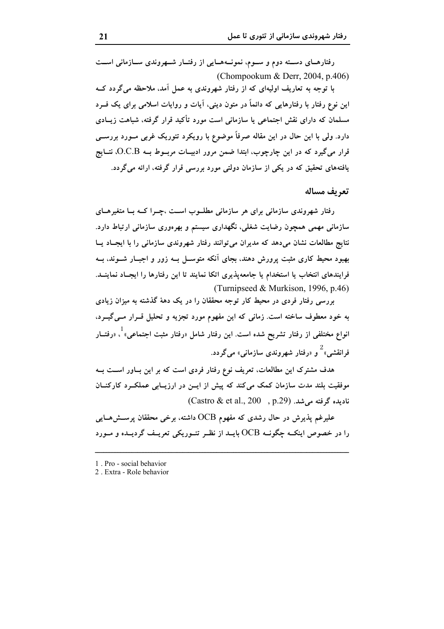رفتارهـای دســته دوم و ســوم، نمونــههــایی از رفتــار شــهروندی ســازمانی اســت (Chompookum & Derr, 2004, p.406)

با توجه به تعاریف اولیهای که از رفتار شهروندی به عمل آمد، ملاحظه میگردد کــه این نوع رفتار با رفتارهایی که دائماً در متون دینی، آیات و روایات اسلامی برای یک فــرد مسلمان که دارای نقش اجتماعی یا سازمانی است مورد تأکید قرار گرفته، شباهت زیــادی دارد. ولی با این حال در این مقاله صرفاً موضوع با رویکرد تئوریک غربی مــورد بررســی قرار میگیرد که در این چارچوب، ابتدا ضمن مرور ادبیــات مربــوط بــه O.C.B، نتــایج یافتههای تحقیق که در یکی از سازمان دولتی مورد بررسی قرار گرفته، ارائه میگردد.

#### تعريف مساله

رفتار شهروندی سازمانی برای هر سازمانی مطلبوب است ،چیرا کبه بیا متغیرهیای سازمانی مهمی همچون رضایت شغلی، نگهداری سیستم و بهرهوری سازمانی ارتباط دارد. نتايج مطالعات نشان مي دهد كه مديران مي توانند رفتار شهروندي سازماني را با ايجـاد يــا بهبود محیط کاری مثبت پرورش دهند، بجای آنکه متوسـل بــه زور و اجبــار شــوند، بــه فرایندهای انتخاب یا استخدام یا جامعه پذیری اتکا نمایند تا این رفتارها را ایجـاد نماینــد. (Turnipseed & Murkison, 1996, p.46)

بررسی رفتار فردی در محیط کار توجه محققان را در یک دههٔ گذشته به میزان زیادی به خود معطوف ساخته است. زمانی که این مفهوم مورد تجزیه و تحلیل قــرار مــی گیــرد، انواع مختلفی از رفتار تشریح شده است. این رفتار شامل «رفتار مثبت اجتماعی» ٔ، «رفتــار فرانقشی» <sup>2</sup> و «رفتار شهروندی سازمانی» میگردد.

هدف مشترک این مطالعات، تعریف نوع رفتار فردی است که بر این بـاور اســت بــه موفقیت بلند مدت سازمان کمک میکند که پیش از ایــن در ارزیــابی عملکــرد کارکنــان  $(Castro & et al., 200, p.29)$ . نادیده گرفته می شد.

علیرغم پذیرش در حال رشدی که مفهوم OCB داشته، برخی محققان پرســش۱صـایی را در خصوص اینکــه چگونــه OCB بایــد از نظــر تئــوریکی تعریــف گردیــده و مــورد

2. Extra - Role behavior

<sup>1.</sup> Pro - social behavior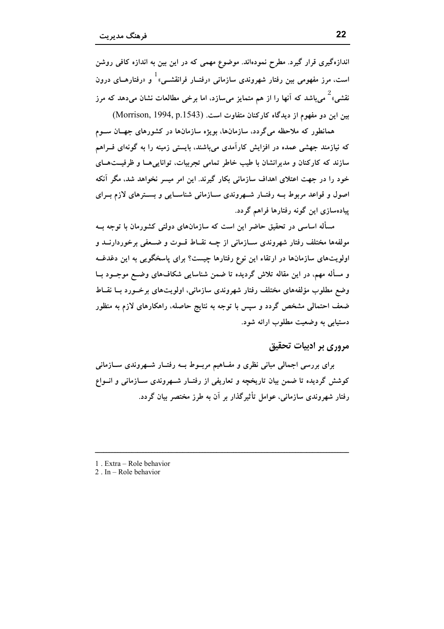اندازهگیری قرار گیرد. مطرح نمودهاند. موضوع مهمی که در این بین به اندازه کافی روشن است، مرز مفهومی بین رفتار شهروندی سازمانی «رفتــار فرانقشــی» <sup>ا</sup> و «رفتارهــای درون نقشی» که می باشد که آنها را از هم متمایز می سازد، اما برخی مطالعات نشان می دهد که مرز بین این دو مفهوم از دیدگاه کارکنان متفاوت است. (Morrison, 1994, p.1543)

همانطور که ملاحظه میگردد، سازمانها، بویژه سازمانها در کشورهای جهــان ســوم که نیازمند جهشی عمده در افزایش کارآمدی میباشند، بایستی زمینه را به گونهای فــراهم سازند که کارکنان و مدیرانشان با طیب خاطر تمامی تجربیات، توانایی هــا و ظرفیــتهــای خود را در جهت اعتلای اهداف سازمانی بکار گیرند. این امر میسر نخواهد شد، مگر آنکه اصول و قواعد مربوط بــه رفتــار شــهروندي ســازماني شناســايي و بســترهاي لازم بــراي پیادهسازی این گونه رفتارها فراهم گردد.

مسأله اساسی در تحقیق حاضر این است که سازمانهای دولتی کشورمان با توجه بــه مولفهها مختلف رفتار شهروندی ســازمانی از چــه نقــاط قــوت و ضــعفی برخوردارنــد و اولویتهای سازمانها در ارتقاء این نوع رفتارها چیست؟ برای پاسخگویی به این دغدغــه و مسأله مهم، در اين مقاله تلاش گرديده تا ضمن شناسايي شكافهاي وضــع موجــود بــا وضع مطلوب مؤلفههای مختلف رفتار شهروندی سازمانی، اولوپتهای برخسورد ببا نقباط ضعف احتمالی مشخص گردد و سپس با توجه به نتایج حاصله، راهکارهای لازم به منظور دستيابي به وضعيت مطلوب ارائه شود.

# مروري پر ادبيات تحقيق

برای بررسی اجمالی مبانی نظری و مفـاهیم مربــوط بــه رفتــار شــهروندی ســازمانی کوشش گردیده تا ضمن بیان تاریخچه و تعاریفی از رفتـار شـهروندی سـازمانی و انــواع رفتار شهروندی سازمانی، عوامل تأثیرگذار بر آن به طرز مختصر بیان گردد.

- 1. Extra Role behavior
- 2. In  $-$  Role behavior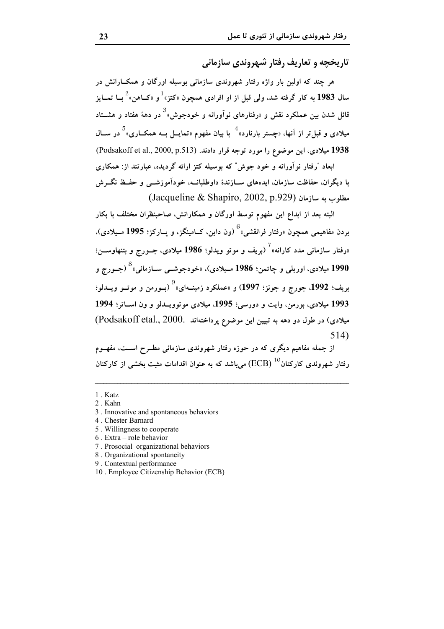تاریخچه و تعاریف رفتار شیه وندی سازمانی

هر چند که اولین بار واژه رفتار شهروندی سازمانی بوسیله اورگان و همکــارانش در سال 1983 به کار گرفته شد، ولي قبل از او افرادي همچون «کتز» $^{-1}$ و «کــاهن» $^{-2}$ بــا تمــايز قائل شدن بین عملکرد نقش و «رفتارهای نوآورانه و خودجوش»  $^3$  در دههٔ هفتاد و هشــتاد میلادی و قبل تر از آنها، «چستر بارنارد»<sup>4</sup> با بیان مفهوم «تمایــل بــه همکــاری»<sup>5</sup> در ســال 1938 میلادی، این موضوع را مورد توجه قرار دادند. (Podsakoff et al., 2000, p.513) ابعاد "رفتار نوآورانه و خود جوش" که بوسیله کتز ارائه گردیده، عبارتند از: همکاری

با دیگران. حفاظت سازمان. ایدههای ســازندهٔ داوطلبانــه، خودآموزشـــی و حفــظ نگـــرش  $(Jacqueline & Shapiro, 2002, p.929)$  مطلوب به سازمان (Jacqueline & Shapiro, 2002, p.929)

البته بعد از ابداع این مفهوم توسط اورگان و همکارانش، صاحبنظران مختلف با بکار بردن مفاهیمی همچون «رفتار فرانقشی»<sup>6</sup> (ون داین، کــامینگز، و پــارکز؛ 1995 مــیلادی)، «رفتار سازمانی مدد کارانه»<sup>7</sup> (بریف و موتو ویدلو؛ 1986 میلادی، جــورج و بتنهاوســـن؛ 1990 میلادی، اوریلی و چاتمن؛ 1986 مـیلادی)، «خودجوشــی ســازمانی»<sup>8</sup> (جــورج و بريف؛ 1992، جورج و جونز؛ 1997) و «عملکرد زمينــهاي»<sup>9</sup> (بــورمن و موتــو ويــدلو؛ 1993 میلادی، بورمن، وایت و دورسی؛ 1995، میلادی موتوویــدلو و ون اســاتر؛ 1994 میلادی) در طول دو دهه به تبیین این موضوع پرداختهاند .Podsakoff etal., 2000)  $514)$ 

از جمله مفاهیم دیگری که در حوزه رفتار شهروندی سازمانی مطــرح اســت، مفهــوم رفتار شهروندی کارکنان $\rm{(ECB)}$  می $\rm{,}$ شد که به عنوان اقدامات مثبت بخشی از کارکنان

- 1. Katz
- 2. Kahn
- 3. Innovative and spontaneous behaviors
- 4. Chester Barnard
- 5. Willingness to cooperate
- 6. Extra role behavior
- 7. Prosocial organizational behaviors
- 8. Organizational spontaneity
- 9. Contextual performance
- 10. Employee Citizenship Behavior (ECB)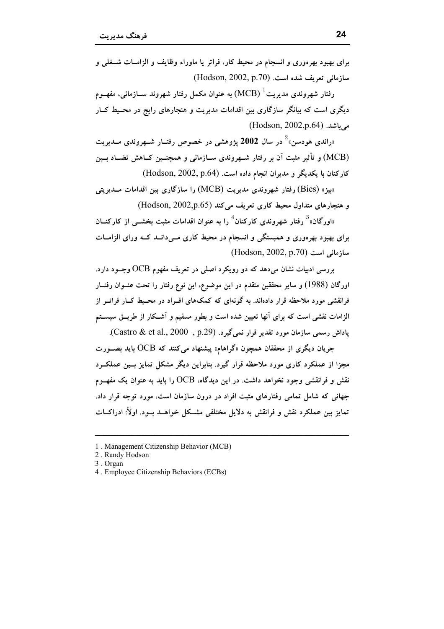رفتار شهروندي مديريت $\mathrm{(MCB)}\,1$  به عنوان مكمل رفتار شهروند ســازماني، مفهــوم دیگری است که بیانگر سازگاری بین اقدامات مدیریت و هنجارهای رایج در محـیط کــار می باشد. (Hodson, 2002,p.64)

«راندی هودسن» ٔ در سال 2002 پژوهشی در خصوص رفتــار شــهروندی مــدیریت (MCB) و تأثیر مثبت آن بر رفتار شــهروندی ســازمانی و همچنــین کــاهش تضــاد بــین كاركنان با يكديگر و مديران انجام داده است. (Hodson, 2002, p.64)

بیز» (Bies) رفتار شهروندی مدیریت (MCB) را سازگاری بین اقدامات مــدیریتی و هنجارهای متداول محیط کاری تعریف می کند (Hodson, 2002,p.65)

وارگان»<sup>3</sup> رفتار شهروندی کارکنان<sup>4</sup> را به عنوان اقدامات مثبت بخشــی از کارکنــان» برای بهبود بهرهوری و همبستگی و انسجام در محیط کاری مـیدانــد کــه ورای الزامــات سازمانی است (Hodson, 2002, p.70)

بررسی ادبیات نشان می دهد که دو رویکرد اصلی در تعریف مفهوم OCB وجــود دارد. اورگان (1988) و سایر محققین متقدم در این موضوع، این نوع رفتار را تحت عنــوان رفتــار .<br>فرانقشی مورد ملاحظه قرار دادهاند. به گونهای که کمکهای افــراد در محــیط کــار فراتــر از الزامات نقشی است که برای آنها تعیین شده است و بطور مسقیم و آشـکار از طریــق سیســتم یاداش رسمی سازمان مورد تقدیر قرار نمیگیرد. (Castro & et al., 2000).

جریان دیگری از محققان همچون «گراهام» پیشنهاد میکنند که OCB باید بصـورت مجزا از عملکرد کاری مورد ملاحظه قرار گیرد. بنابراین دیگر مشکل تمایز بسین عملک رد نقش و فرانقشی وجود نخواهد داشت. در این دیدگاه، OCB را باید به عنوان یک مفهـوم جهانی که شامل تمامی رفتارهای مثبت افراد در درون سازمان است، مورد توجه قرار داد. تمایز بین عملکرد نقش و فرانقش به دلایل مختلفی مشــکل خواهــد بــود. اولاً: ادراکــات

<sup>1.</sup> Management Citizenship Behavior (MCB)

<sup>2.</sup> Randy Hodson

<sup>3.</sup> Organ

<sup>4.</sup> Employee Citizenship Behaviors (ECBs)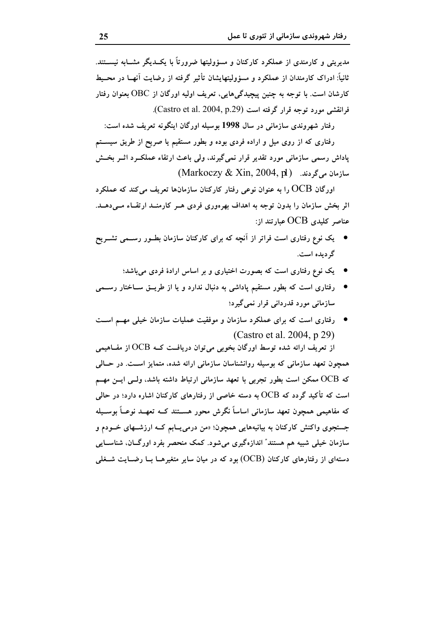مدیریتی و کارمندی از عملکرد کارکنان و مسؤولیتها ضرورتاً با یکــدیگر مشــابه نیســتند. ثانیاً: ادراک کارمندان از عملکرد و مسؤولیتهایشان تأثیر گرفته از رضایت آنهــا در محــیط کارشان است. با توجه به چنین پیچیدگی هایی، تعریف اولیه اورگان از OBC بعنوان رفتار فرانقشی مورد توجه قرار گرفته است (Castro et al. 2004, p.29).

رفتار شهروندی سازمانی در سال 1998 بوسیله اورگان اینگونه تعریف شده است: رفتاری که از روی میل و اراده فردی بوده و بطور مستقیم یا صریح از طریق سیســتم پاداش رسمی سازمانی مورد تقدیر قرار نمیگیرند، ولی باعث ارتقاء عملکــرد اثــر بخــش  $(Markoczy & Xin, 2004, p)$  سازمان می گردند. (Markoczy & Xin, 2004, p

اورگان  $\rm{OCB}$  را به عنوان نوعی رفتار کارکنان سازمانها تعریف میکند که عملکرد اثر بخش سازمان را بدون توجه به اهداف بهرهوری فردی هـر کارمنــد ارتقــاء مــیدهــد. عناصر کلیدی  $\rm OCB$  عبارتند از:

- \_ یک نوع رفتاری است فراتر از اَنچه که برای کارکنان سازمان بطــور رســمی تشــریح گردیده است.
	- یک نوع رفتاری است که بصورت اختیاری و بر اساس ارادهٔ فردی میباشد؛
- رفتاری است که بطور مستقیم پاداشی به دنبال ندارد و یا از طریــق ســاختار رســـمی سازمانی مورد قدردانی قرار نمیگیرد؛
- \_ رفتاری است که برای عملکرد سازمان و موفقیت عملیات سازمان خیلی مهــم اســت (Castro et al. 2004, p 29)

از تعریف ارائه شده توسط اورگان بخوبی میتوان دریافت کــه OCB از مفــاهیمی همچون تعهد سازمانی که بوسیله روانشناسان سازمانی ارائه شده، متمایز اســت. در حــالی که OCB ممکن است بطور تجربی با تعهد سازمانی ارتباط داشته باشد، ولسی ایس مهسم است که تأکید گردد که OCB به دسته خاصی از رفتارهای کارکنان اشاره دارد؛ در حالی که مفاهیمی همچون تعهد سازمانی اساساً نگرش محور هســتند کــه تعهــد نوعــاً بوســیله جستجوی واکنش کارکنان به بیانیههایی همچون: «من درمیLبابم کــه ارزشــهای خــودم و سازمان خیلی شبیه هم هستند″ اندازهگیری میشود. کمک منحصر بفرد اورگـان، شناســایی دستهای از رفتارهای کارکنان (OCB) بود که در میان سایر متغیرهــا بــا رضــایت شــغلی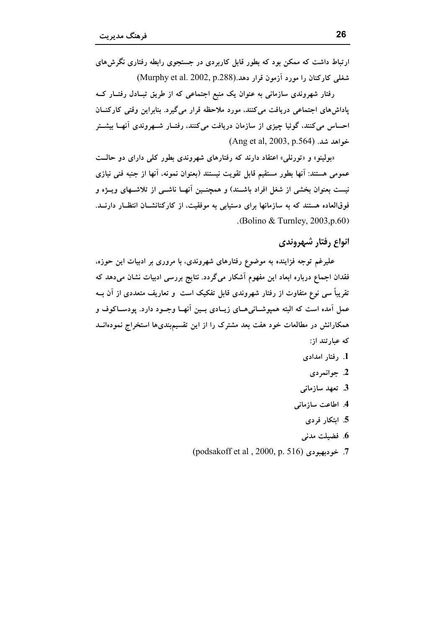ارتباط داشت که ممکن بود که بطور قابل کاربردی در جستجوی رابطه رفتاری نگرش های شغلی کارکنان را مورد آزمون قرار دهد.(Murphy et al. 2002, p.288)

رفتار شهروندی سازمانی به عنوان یک منبع اجتماعی که از طریق تبـادل رفتــار کــه پاداشهای اجتماعی دریافت میکنند، مورد ملاحظه قرار میگیرد. بنابراین وقتی کارکنــان احساس می کنند، گوئیا چیزی از سازمان دریافت می کنند، رفتـار شــهروندی آنهــا بیشــتر خواهد شد. (Ang et al, 2003, p.564)

«بولینو» و «تورنلی» اعتقاد دارند که رفتارهای شهروندی بطور کلی دارای دو حالـت عمومی هستند: آنها بطور مستقیم قابل تقویت نیستند (بعنوان نمونه، آنها از جنبه فنی نیازی نیست بعنوان بخشی از شغل افراد باشــند) و همچنــین آنهــا ناشــی از تلاشــهای ویــژه و فوقالعاده هستند که به سازمانها برای دستیابی به موفقیت، از کارکنانشــان انتظــار دارنــد. .(Bolino & Turnley,  $2003$ , p.60)

# انواع رفتار شبهروندي

علیرغم توجه فزاینده به موضوع رفتارهای شهروندی، با مروری بر ادبیات این حوزه، فقدان اجماع درباره ابعاد این مفهوم آشکار میگردد. نتایج بررسی ادبیات نشان میدهد که تقریباً سی نوع متفاوت از رفتار شهروندی قابل تفکیک است و تعاریف متعددی از آن بــه عمل آمده است که البته همپوشــانی۵ــای زیــادی بــین آنهــا وجــود دارد. پودســاکوف و همکارانش در مطالعات خود هفت بعد مشترک را از این تقسیمٖبندیها استخراج نمودهانــد که عبارتند از:

- 1. رفتار امدادی
	- 2. جوانمردي
- 3. تعهد سازمانى
- 4. اطاعت سازمانی
	- 5. ابتكار فردى
	- 6. فضيلت مدنى
- 7. خودبهبودي (podsakoff et al , 2000, p. 516)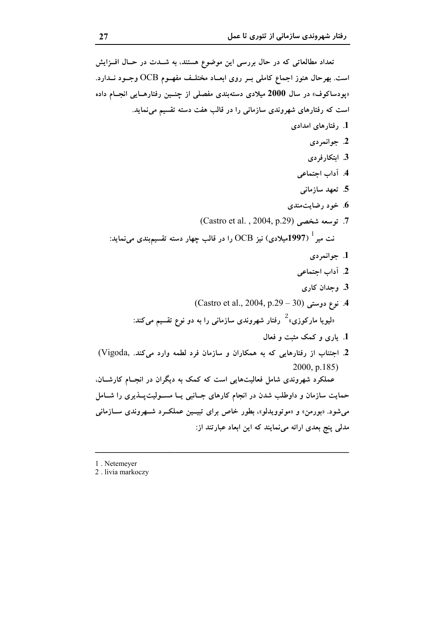```
تعداد مطالعاتی که در حال بررسی این موضوع هستند، به شــدت در حــال افــزایش
است. بهرحال هنوز اجماع کاملی بــر روی ابعــاد مختلــف مفهــوم OCB وجــود نــدارد.
«پودساکوف» در سال 2000 میلادی دستهبندی مفصلی از چنــین رفتارهــایی انجــام داده
           است که رفتارهای شهروندی سازمانی را در قالب هفت دسته تقسیم می نماید.
                                                              1. رفتارهای امدادی
                                                                    2. جوانمردي
                                                                   3. ابتكارفردي
                                                                4. آداب اجتماعی
                                                                5. تعهد سازمانى
                                                             6. خود رضایتمندی
                                 7. توسعه شخصي (Castro et al. , 2004, p.29)
    نت میر ^{1\,997}میلادی) نیز {\rm CCB} را در قالب چهار دسته تقسیم^{\rm 1\,997} می^{\rm 1\,}1. جوانمردي
                                                                2. آداب اجتماعی
                                                                 3. وجدان كارى
                               4. نوع دوستی (Castro et al., 2004, p.29 – 30)
            «لیویا مارکوزی»<sup>2</sup> رفتار شهروندی سازمانی را به دو نوع تقسیم میکند:
                                                     1. بارې و کمک مثبت و فعال
 2. اجتناب از رفتارهایی که به همکاران و سازمان فرد لطمه وارد می کند. ,Vigoda)
                                                              2000, p.185)
عملکرد شهروندی شامل فعالیتهایی است که کمک به دیگران در انجـام کارشــان.
حمایت سازمان و داوطلب شدن در انجام کارهای جـانبی یــا مســولیتپــذیری را شــامل
می شود. «بورمن» و «موتوویدلو»، بطور خاص برای تبیـین عملکـرد شـهروندی سـازمانی
                               مدلی پنج بعدی ارائه می نمایند که این ابعاد عبارتند از:
```
1. Netemever

2. livia markoczy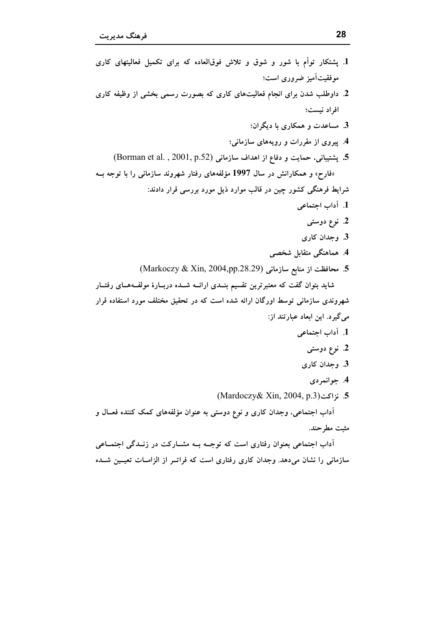آداب اجتماعی بعنوان رفتاری است که توجــه بــه مشــارکت در زنـــدگی اجتمــاعی سازمانی را نشان میدهد. وجدان کاری رفتاری است که فراتــر از الزامــات تعیــین شــده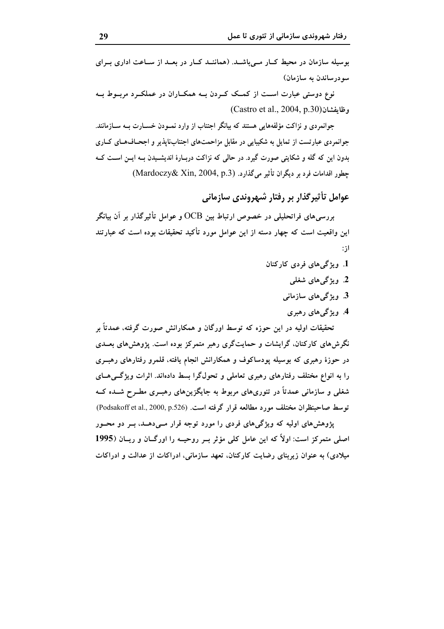بوسیله سازمان در محیط کبار مے باشید. (هماننید کبار در بعید از سیاعت اداری بیرای سودرساندن به سازمان)

نوع دوستی عبارت است از کمک کـردن بــه همکــاران در عملکــرد مربــوط بــه  $(Castro et al., 2004, p.30)$ وظايفشان

جوانمردی و نزاکت مؤلفههایی هستند که بیانگر اجتناب از وارد نمــودن خســارت بــه ســازمانند. جوانمردی عبارتست از تمایل به شکیبایی در مقابل مزاحمتهای اجتنابناپذیر و اجحـافهـای کــاری بدون این که گله و شکایتی صورت گیرد. در حالی که نزاکت دربـارهٔ اندیشـیدن بـه ایــن اســت کــه جطور اقدامات فرد بر دیگران تأثیر میگذارد. (Mardoczy& Xin, 2004, p.3)

عوامل تأثیر گذار بر رفتار شهروندی سازمانی

بررسیهای فراتحلیلی در خصوص ارتباط بین OCB و عوامل تأثیرگذار بر آن بیانگر این واقعیت است که چهار دسته از این عوامل مورد تأکید تحقیقات بوده است که عبارتند  $:$   $\mathfrak{z}$ 

- 1. ویژگی های فردی کارکنان
	- 2. ویژگے های شغلی
	- 3. ویژگیهای سازمانبی
	- 4. ویژگی های رهبری

تحقیقات اولیه در این حوزه که توسط اورگان و همکارانش صورت گرفته، عمدتاً بر نگرش های کارکنان، گرایشات و حمایتگری رهبر متمرکز بوده است. پژوهشهای بعــدی در حوزهٔ رهبری که بوسیله پودساکوف و همکارانش انجام یافته، قلمرو رفتارهای رهبــری را به انواع مختلف رفتارهای رهبری تعاملی و تحولگرا بسط دادهاند. اثرات ویژگیهای شغلی و سازمانی عمدتاً در تئوریهای مربوط به جایگزینهای رهبوی مطـرح شــده کــه توسط صاحبنظران مختلف مورد مطالعه قرار گرفته است. (Podsakoff et al., 2000, p.526)

یژوهشهای اولیه که ویژگیهای فردی را مورد توجه قرار مــیدهــد، بــر دو محــور اصلی متمرکز است: اولاً که این عامل کلی مؤثر بـر روحیــه را اورگــان و ریــان (1995 میلادی) به عنوان زیربنای رضایت کارکنان، تعهد سازمانی، ادراکات از عدالت و ادراکات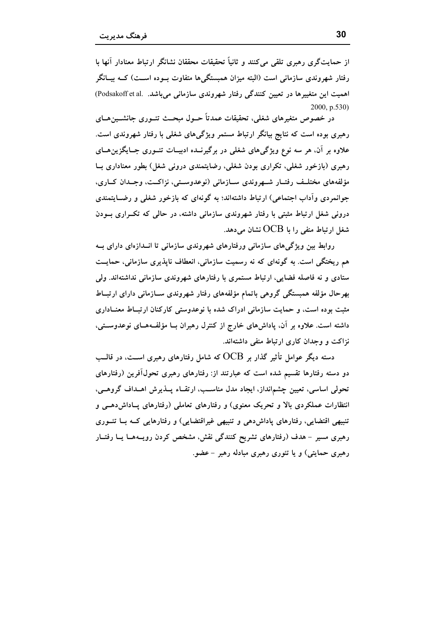از حمایتگری رهبری تلقی می کنند و ثانیاً تحقیقات محققان نشانگر ارتباط معنادار آنها با رفتار شهروندی سازمانی است (البته میزان همبستگی ها متفاوت بوده اســت) کــه بیــانگر اهمیت این متغییرها در تعیین کنندگی رفتار شهروندی سازمانی میباشد. .Podsakoff et al 2000, p.530)

در خصوص متغیرهای شغلی، تحقیقات عمدتاً حــول مبحــث تئــوری جانشــین۱صای رهبری بوده است که نتایج بیانگر ارتباط مستمر ویژگیهای شغلی با رفتار شهروندی است. علاوه بر آن، هر سه نوع ویژگیهای شغلی در برگیرنــده ادبیــات تئــوری جــایگزین۵ــای رهبری (بازخور شغلی، تکراری بودن شغلی، رضایتمندی درونی شغل) بطور معناداری بــا مؤلفههای مختلـف رفتـار شـهروندی سـازمانی (نوعدوسـتی، نزاکـت، وجـدان کــاری، جوانمردی وآداب اجتماعی) ارتباط داشتهاند؛ به گونهای که بازخور شغلی و رضــایتمندی درونی شغل ارتباط مثبتی با رفتار شهروندی سازمانی داشته، در حالی که تکراری بودن شغل ارتباط منفی را با  $\mathrm{OCB}$  نشان می دهد.

روابط بین ویژگیهای سازمانی ورفتارهای شهروندی سازمانی تا انــدازهای دارای بــه هم ریختگی است. به گونهای که نه رسمیت سازمانی، انعطاف ناپذیری سازمانی، حمایــت ستادی و نه فاصله فضایی، ارتباط مستمری با رفتارهای شهروندی سازمانی نداشتهاند. ولی بهرحال مؤلفه همبستگی گروهی باتمام مؤلفههای رفتار شهروندی سـازمانی دارای ارتبـاط مثبت بوده است، و حمایت سازمانی ادراک شده با نوعدوستی کارکنان ارتبــاط معنــاداری داشته است. علاوه بر آن، پاداشهای خارج از کنترل رهبران بــا مؤلفــههــای نوعدوســتی، نزاکت و وجدان کاری ارتباط منفی داشتهاند.

دسته دیگر عوامل تأثیر گذار بر  $\rm{OCB}$  که شامل رفتارهای رهبری اســت، در قالــب دو دسته رفتارها تقسیم شده است که عبارتند از: رفتارهای رهبری تحول آفرین (رفتارهای تحولی اساسی، تعیین چشمانداز، ایجاد مدل مناسب، ارتقاء پــذیرش اهــداف گروهــی، انتظارات عملکردی بالا و تحریک معنوی) و رفتارهای تعاملی (رفتارهای پـاداش(هـی و تنبیهی اقتضایی، رفتارهای پاداشدهی و تنبیهی غیراقتضایی) و رفتارهایی کـه بــا تئــوری رهبری مسیر - هدف (رفتارهای تشریح کنندگی نقش، مشخص کردن رویــههــا یــا رفتــار رهبری حمایتی) و یا تئوری رهبری مبادله رهبر – عضو.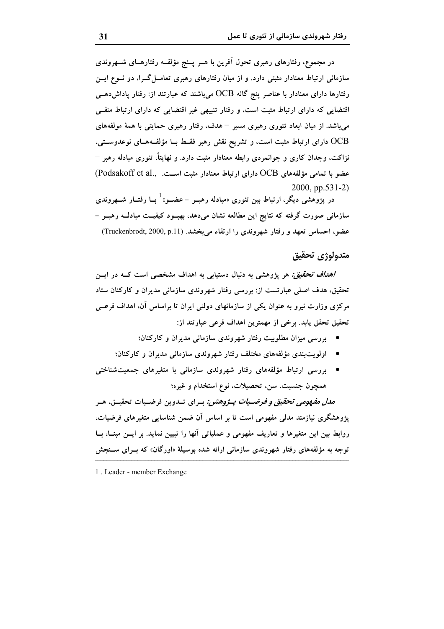در مجموع، رفتارهای رهبری تحول اَفرین با هــر پــنج مؤلفــه رفتارهــای شــهروندی سازمانی ارتباط معنادار مثبتی دارد. و از میان رفتارهای رهبری تعامــل گــرا، دو نــوع ایــن رفتارها دارای معنادار با عناصر پنج گانه OCB میباشند که عبارتند از: رفتار پاداشدهــی اقتضایی که دارای ارتباط مثبت است، و رفتار تنبیهی غیر اقتضایی که دارای ارتباط منفـی می باشد. از میان ابعاد تئوری رهبری مسیر – هدف، رفتار رهبری حمایتی با همهٔ مولفههای OCB دارای ارتباط مثبت است، و تشریح نقش رهبر فقــط بــا مؤلفــههــای نوعدوســتی، نزاکت، وجدان کاری و جوانمردی رابطه معنادار مثبت دارد. و نهایتاً، تئوری مبادله رهبر – عضو با تمامی مؤلفههای OCB دارای ارتباط معنادار مثبت است. . ,Podsakoff et al 2000, pp.531-2)

در پژوهشی دیگر، ارتباط بین تئوری «مبادله رهبــر – عضـــو»<sup>1</sup> بــا رفتــار شـــهروندی سازمانی صورت گرفته که نتایج این مطالعه نشان میدهد، بهبــود کیفیــت مبادلــه رهبــر – عضو، احساس تعهد و رفتار شهروندی را ارتقاء می بخشد. (Truckenbrodt, 2000, p.11)

### متدولوژي تحقيق

/ه*داف تحقیق:* هر یژوهشی به دنبال دستیابی به اهداف مشخصی است کــه در ایـــن تحقیق، هدف اصلی عبارتست از: بررسی رفتار شهروندی سازمانی مدیران و کارکنان ستاد مرکزی وزارت نیرو به عنوان یکی از سازمانهای دولتی ایران تا براساس آن، اهداف فرعــی تحقيق تحقق يابد. برخي از مهمترين اهداف فرعي عبارتند از:

- بررسی میزان مطلوبیت رفتار شهروندی سازمانی مدیران و کارکنان؛
- اولویتبندی مؤلفههای مختلف رفتار شهروندی سازمانی مدیران و کارکنان؛
- بررسی ارتباط مؤلفههای رفتار شهروندی سازمانی با متغیرهای جمعیتشناختی همچون جنسیت، سن. تحصیلات، نوع استخدام و غیره؛

*مدل مفهومی تحقیق و فرضیات پــژوهشن:* بــرای تــدوین فرضــیات تحقیــق، هــر پژوهشگری نیازمند مدلی مفهومی است تا بر اساس اَن ضمن شناسایی متغیرهای فرضیات، روابط بین این متغیرها و تعاریف مفهومی و عملیاتی آنها را تبیین نماید. بر ایــن مبنــا، بــا توجه به مؤلفههای رفتار شهروندی سازمانی ارائه شده بوسیلهٔ «اورگان» که بــرای ســنجش

<sup>1.</sup> Leader - member Exchange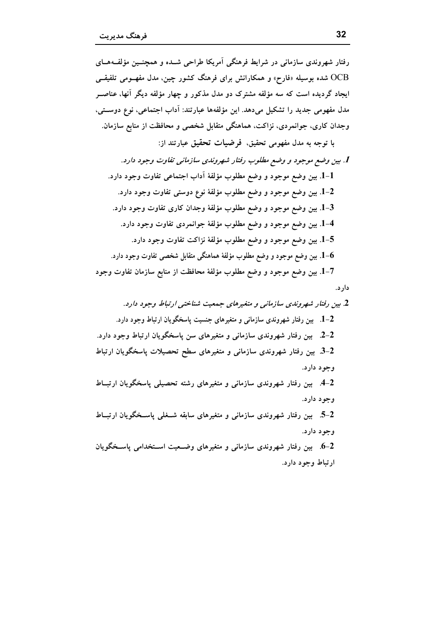رفتار شهروندی سازمانی در شرایط فرهنگی آمریکا طراحی شــده و همچنــین مؤلفــههــای OCB شده بوسیله «فارح» و همکارانش برای فرهنگ کشور چین، مدل مفهــومی تلفیقــی ایجاد گردیده است که سه مؤلفه مشترک دو مدل مذکور و چهار مؤلفه دیگر آنها، عناصــر مدل مفهومی جدید را تشکیل میدهد. این مؤلفهها عبارتند: آداب اجتماعی، نوع دوستی، وجدان کاری، جوانمردی، نزاکت، هماهنگی متقابل شخصی و محافظت از منابع سازمان. با توجه به مدل مفهومی تحقیق، فرضیات تحقیق عبارتند از: 1. بين وضع موجود و وضع مطلوب رفتار شهروندي سازماني تفاوت وجود دارد. 1-1. بين وضع موجود و وضع مطلوب مؤلفهٔ آداب اجتماعي تفاوت وجود دارد. 1–2. بين وضع موجود و وضع مطلوب مؤلفهٔ نوع دوستي تفاوت وجود دارد. 3–1. بين وضع موجود و وضع مطلوب مؤلفهٔ وجدان كارى تفاوت وجود دارد. 4-1. بين وضع موجود و وضع مطلوب مؤلفهٔ جوانمردي تفاوت وجود دارد. 5–1. بين وضع موجود و وضع مطلوب مؤلفهٔ نزاكت تفاوت وجود دارد. . بین وضع موجود و وضع مطلوب مؤلفهٔ هماهنگی متقابل شخصی تفاوت وجود دارد. $\mathbf{-6}$ 1–1. بين وضع موجود و وضع مطلوب مؤلفهٔ محافظت از منابع سازمان تفاوت وجود دار د.

2. بین رفتار شهروندی سازمانی و متغیرهای جمعیت شناختی ارتباط وجود دارد. 1–2. بین رفتار شهروندی سازمانی و متغیرهای جنسیت یاسخگویان ارتباط وجود دارد. 2-2. بين رفتار شهروندي سازماني و متغيرهاي سن ياسخگويان ارتباط وجود دارد. 2-3. بین رفتار شهروندی سازمانی و متغیرهای سطح تحصیلات پاسخگویان ارتباط وجود دارد. 4-4. بین رفتار شهروندی سازمانی و متغیرهای رشته تحصیلی پاسخگویان ارتبــاط وجود دارد. 2-5. بین رفتار شهروندی سازمانی و متغیرهای سابقه شــغلی پاســخگویان ارتبــاط وجود دارد. 6-2. بین رفتار شهروندی سازمانی و متغیرهای وضــعیت اســتخدامی یاســخگویان ارتباط وجود دارد.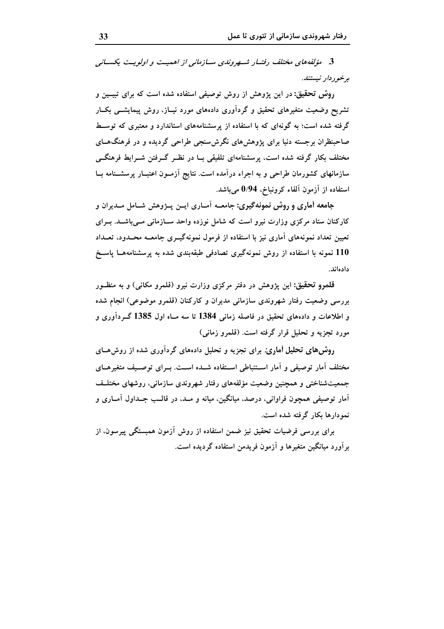3. مۇلفەھاي مختلف رفتسار شىسرونلىي سيازمانى از اھمىت و اولوپت بكسيانى برخوردار نيستند.

روش تحقیق: در این پژوهش از روش توصیفی استفاده شده است که برای تبیـین و تشریح وضعیت متغیرهای تحقیق و گردآوری دادههای مورد نیـاز، روش پیمایشــی بکــار گرفته شده است؛ به گونهای که با استفاده از پرسشنامههای استاندارد و معتبری که توسـط صاحبنظران برجسته دنیا برای پژوهش های نگرش سنجی طراحی گردیده و در فرهنگ هــای مختلف بکار گرفته شده است، پرسشنامهای تلفیقی بــا در نظــر گـــرفتن شـــرایط فرهنگـــی سازمانهای کشورمان طراحی و به اجراء درآمده است. نتایج آزمـون اعتبـار پرسشــنامه بــا استفاده از آزمون آلفاء کرونباخ، 0/94 میباشد.

جامعه آماری و روش نمونهگیری: جامعــه آمــاری ایــن پــژوهش شــامل مــدیران و کارکنان ستاد مرکزی وزارت نیرو است که شامل نوزده واحد ســازمانی مــیباشــد. بــرای تعیین تعداد نمونههای آماری نیز با استفاده از فرمول نمونهگیــری جامعــه محــدود، تعــداد 110 نمونه با استفاده از روش نمونهگیری تصادفی طبقهبندی شده به پرسشنامههــا پاســخ دادواند

قلمرو تحقیق: این یژوهش در دفتر مرکزی وزارت نیرو (قلمرو مکانی) و به منظـور بررسی وضعیت رفتار شهروندی سازمانی مدیران و کارکنان (قلمرو موضوعی) انجام شده و اطلاعات و دادههای تحقیق در فاصله زمانی 1384 تا سه مــاه اول 1385 گــردآوری و مورد تجزیه و تحلیل قرار گرفته است. (قلمرو زمانی)

روش های تحلیل آماری: برای تجزیه و تحلیل دادههای گردآوری شده از روش هــای مختلف آمار توصیفی و آمار اســتنباطی اســتفاده شــده اســت. بــرای توصــیف متغیرهــای جمعیتشناختی و همچنین وضعیت مؤلفههای رفتار شهروندی سازمانی، روشهای مختلـف آمار توصيفي همچون فراواني، درصد، ميانگين، ميانه و مـد، در قالـب جـداول آمــاري و نمو دارها بکار گرفته شده است.

برای بررسی فرضیات تحقیق نیز ضمن استفاده از روش آزمون همبستگی پیرسون، از بر آورد مبانگین متغیرها و آزمون فریدمن استفاده گردیده است.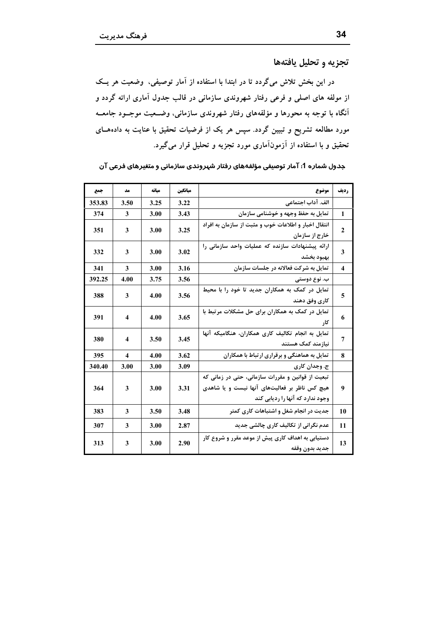تجزيه و تحليل يافتهها

در این بخش تلاش میگردد تا در ابتدا با استفاده از آمار توصیفی، وضعیت هر یـک از مولفه های اصلی و فرعی رفتار شهروندی سازمانی در قالب جدول آماری ارائه گردد و آنگاه با توجه به محورها و مؤلفههای رفتار شهروندی سازمانی، وضــعیت موجــود جامعــه مورد مطالعه تشریح و تبیین گردد. سپس هر یک از فرضیات تحقیق با عنایت به دادههــای تحقیق و با استفاده از آزمونآماری مورد تجزیه و تحلیل قرار میگیرد.

جدول شماره 1: آمار توصیفی مؤلفههای رفتار شهروندی سازمانی و متغیرهای فرعی آن

| جمع    | مد   | ميانه | ميانكين | موضوع                                                                                                                                  | رديف             |
|--------|------|-------|---------|----------------------------------------------------------------------------------------------------------------------------------------|------------------|
| 353.83 | 3.50 | 3.25  | 3.22    | الف. آداب اجتماعي                                                                                                                      |                  |
| 374    | 3    | 3.00  | 3.43    | تمایل به حفظ وجهه و خوشنامی سازمان                                                                                                     | 1                |
| 351    | 3    | 3.00  | 3.25    | انتقال اخبار و اطلاعات خوب و مثبت از سازمان به افراد<br>خارج از سازمان                                                                 | $\mathbf{2}$     |
| 332    | 3    | 3.00  | 3.02    | ارائه پیشنهادات سازنده که عملیات واحد سازمانی را<br>بهبود بخشد                                                                         | 3                |
| 341    | 3    | 3.00  | 3.16    | تمایل به شرکت فعالانه در جلسات سازمان                                                                                                  | $\boldsymbol{4}$ |
| 392.25 | 4.00 | 3.75  | 3.56    | ب. نوع دوستی                                                                                                                           |                  |
| 388    | 3    | 4.00  | 3.56    | تمایل در کمک به همکاران جدید تا خود را با محیط<br>كارى وفق دهند                                                                        | 5                |
| 391    | 4    | 4.00  | 3.65    | تمایل در کمک به همکاران برای حل مشکلات مرتبط با<br>کار                                                                                 | 6                |
| 380    | 4    | 3.50  | 3.45    | تمایل به انجام تکالیف کاری همکاران، هنگامیکه آنها<br>نیازمند کمک هستند                                                                 | 7                |
| 395    | 4    | 4.00  | 3.62    | تمایل به هماهنگی و برقراری ارتباط با همکاران                                                                                           | 8                |
| 340.40 | 3.00 | 3.00  | 3.09    | ج. وجدان کاری                                                                                                                          |                  |
| 364    | 3    | 3.00  | 3.31    | تبعیت از قوانین و مقررات سازمانی، حتی در زمانی که<br>هیچ کس ناظر بر فعالیتهای آنها نیست و یا شاهدی<br>وجود ندارد که آنها را ردیابی کند | 9                |
| 383    | 3    | 3.50  | 3.48    | جدیت در انجام شغل و اشتباهات کاری کمتر                                                                                                 | 10               |
| 307    | 3    | 3.00  | 2.87    | عدم نگرانی از تکالیف کاری چالشی جدید                                                                                                   | 11               |
| 313    | 3    | 3.00  | 2.90    | دستیابی به اهداف کاری پیش از موعد مقرر و شروع کار<br>جديد بدون وقفه                                                                    | 13               |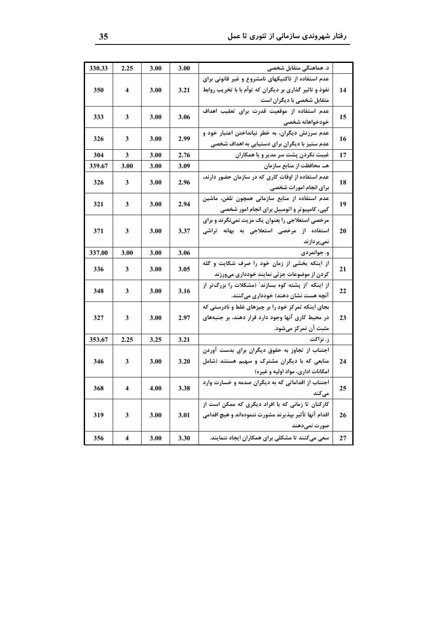|    | د. هماهنگی متقابل شخصی                                  | 3.00 | 3.00 | 2.25 | 330.33 |
|----|---------------------------------------------------------|------|------|------|--------|
|    | عدم استفاده از تاکتیکهای نامشروع و غیر قانونی برای      |      |      |      |        |
| 14 | نفوذ و تاثیر گذاری بر دیگران که تواّم با با تخریب روابط | 3.21 | 3.00 | 4    | 350    |
|    | متقابل شخصی با دیگران است                               |      |      |      |        |
|    | عدم استفاده از موقعیت قدرت برای تعقیب اهداف             |      |      |      |        |
| 15 | خودخواهانه شخصى                                         | 3.06 | 3.00 | 3    | 333    |
|    | عدم سرزنش دیگران، به خطر نیانداختن اعتبار خود و         |      |      |      |        |
| 16 | عدم ستیز با دیگران برای دستیابی به اهداف شخصی           | 2.99 | 3.00 | 3    | 326    |
| 17 | غیبت نکردن پشت سر مدیر و یا همکاران                     | 2.76 | 3.00 | 3    | 304    |
|    | هـ محافظت از منابع سازمان                               | 3.09 | 3.00 | 3.00 | 339.67 |
|    | عدم استفاده از اوقات کاری که در سازمان حضور دارند،      |      |      |      |        |
| 18 | برای انجام امورات شخصی                                  | 2.96 | 3.00 | 3    | 326    |
|    | ۔<br>عدم استفادہ از منابع سازمانی همچون تلفن، ماشین     |      |      |      |        |
| 19 | کپی، کامپیوتر و اتومبیل برای انجام امور شخصی            | 2.94 | 3.00 | 3    | 321    |
|    | مرخصی استعلاجی را بعنوان یک مزیت نمینگرند و برای        |      |      |      |        |
| 20 | استفاده از مرخصی استعلاجی به بهانه تراشی                | 3.37 | 3.00 | 3    | 371    |
|    | نمىپردازند                                              |      |      |      |        |
|    | و. جوانمردی                                             | 3.06 | 3.00 | 3.00 | 337.00 |
|    | از اینکه بخشی از زمان خود را صرف شکایت و گله            |      |      |      |        |
| 21 | کردن از موضوعات جزئی نمایند خودداری میورزند             | 3.05 | 3.00 | 3    | 336    |
|    | از اینکه آاز پشته کوه بسازند" (مشکلات را بزرگ تر از     |      |      |      |        |
| 22 | آنچه هست نشان دهند) خودداری میکنند.                     | 3.16 | 3.00 | 3    | 348    |
|    | بجای اینکه تمرکز خود را بر چیزهای غلط و نادرستی که      |      |      |      |        |
| 23 | در محیط کاری آنها وجود دارد قرار دهند، بر جنبههای       | 2.97 | 3.00 | 3    | 327    |
|    | مثبت آن تمرکز میشود.                                    |      |      |      |        |
|    | ز. نزاکت                                                | 3.21 | 3.25 | 2.25 | 353.67 |
|    | اجتناب از تجاوز به حقوق دیگران برای بدست آوردن          |      |      |      |        |
| 24 | منابعی که با دیگران مشترک و سهیم هستند (شامل            | 3.20 | 3.00 | 3    | 346    |
|    | امکانات اداری، مواد اولیه و غیره)                       |      |      |      |        |
|    | اجتناب از اقداماتی که به دیگران صدمه و خسارت وارد       |      |      |      |        |
| 25 | مىكند                                                   | 3.38 | 4.00 | 4    | 368    |
|    | کارکنان تا زمانی که با افراد دیگری که ممکن است از       |      |      |      |        |
| 26 | اقدام آنها تأثير بپذيرند مشورت ننمودهاند و هيچ اقدامي   | 3.01 | 3.00 | 3    | 319    |
|    | صورت نمىدهند                                            |      |      |      |        |
| 27 | سعی میکنند تا مشکلی برای همکاران ایجاد ننمایند.         | 3.30 | 3.00 | 4    | 356    |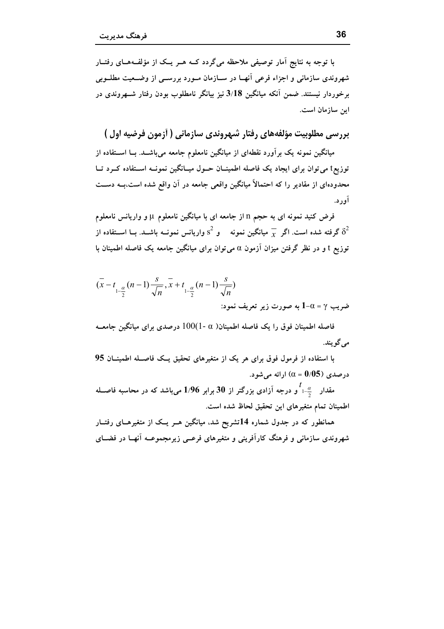با توجه به نتایج آمار توصیفی ملاحظه میگردد کــه هــر یــک از مؤلفــههــای رفتــار شهروندی سازمانی و اجزاء فرعی آنهـا در ســازمان مــورد بررســی از وضــعیت مطلــوبی برخوردار نیستند. ضمن آنکه میانگین 3/18 نیز بیانگر نامطلوب بودن رفتار شــهروندی در اين سازمان است.

بررسی مطلوبیت مؤلفههای رفتار شهروندی سازمانی ( اَزمون فرضیه اول )

میانگین نمونه یک برآورد نقطهای از میانگین نامعلوم جامعه میباشــد. بــا اســتفاده از توزیع† می توان برای ایجاد یک فاصله اطمینــان حــول میــانگین نمونــه اســتفاده کــرد تــا محدودهای از مقادیر را که احتمالاً میانگین واقعی جامعه در آن واقع شده است،بــه دســت آور د.

فرض کنید نمونه ای به حجم n از جامعه ای با میانگین نامعلوم µ و واریانس نامعلوم گرفته شده است. اگر  $\overline{\chi}$  میانگین نمونه هو  $^2$  واریانس نمونــه باشــد. بــا اســتفاده از  $\delta^2$ توزیع t و در نظر گرفتن میزان آزمون a می توان برای میانگین جامعه یک فاصله اطمینان با

$$
(\overline{x} - t_{1-\frac{\alpha}{2}}(n-1)\frac{s}{\sqrt{n}}, \overline{x} + t_{1-\frac{\alpha}{2}}(n-1)\frac{s}{\sqrt{n}})
$$
  
4-0 =  $\gamma$ 

فاصله اطمینان فوق را یک فاصله اطمینان( a -1)100 درصدی برای میانگین جامعــه مے گو پند.

با استفاده از فرمول فوق برای هر یک از متغیرهای تحقیق یـک فاصـله اطمینــان 95 درصدي (05%)  $\alpha = 0/05$  ارائه مي شود.

مقدار همچناگو درجه آزادی بزرگتر از 30 برابر 1/96 میباشد که در محاسبه فاصــله اطمينان تمام متغيرهاي اين تحقيق لحاظ شده است.

همانطور که در جدول شماره 14تشریح شد، میانگین هــر یــک از متغیرهــای رفتــار شهروندی سازمانی و فرهنگ کارآفرینی و متغیرهای فرعـبی زیرمجموعــه آنهــا در فضــای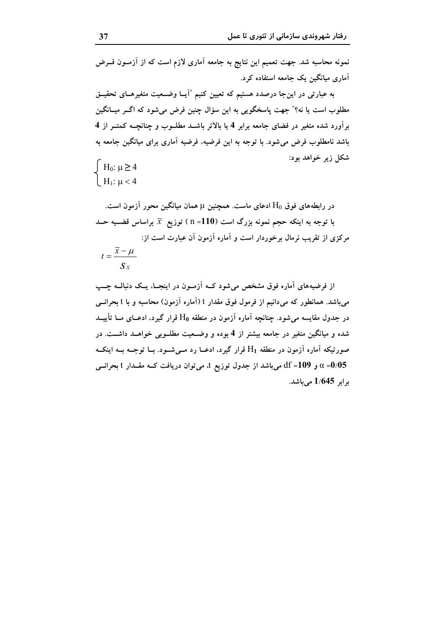نمونه محاسبه شد. جهت تعمیم این نتایج به جامعه آماری لازم است که از آزمــون فــرض آماری میانگین یک جامعه استفاده کرد.

به عبارتی در اینجا درصدد هستیم که تعیین کنیم "آیــا وضــعیت متغیرهــای تحقیــق مطلوب است یا نه؟" جهت پاسخگویی به این سؤال چنین فرض میشود که اگــر میــانگین برآورد شده متغیر در فضای جامعه برابر 4 یا بالاتر باشــد مطلــوب و چنانچــه کمتــر از 4 باشد نامطلوب فرض می شود. با توجه به این فرضیه، فرضیه آماری برای میانگین جامعه به شکل زیر خواهد بود:  $\int H_0: \mu \geq 4$ 

 $H_1: \mu < 4$ 

در رابطههای فوق  $\rm H_0$  ادعای ماست. همچنین µ همان میانگین محور آزمون است. با توجه به اینکه حجم نمونه بزرگ است (110= n ) توزیع  $\overline{x}$  براساس قضــیه حــد مرکزی از تقریب نرمال برخوردار است و آماره آزمون آن عبارت است از:  $t = \frac{\overline{x} - \mu}{S_X}$ 

از فرضیههای آماره فوق مشخص می شود کــه آزمــون در اینجــا، یــک دنبالــه چــب می،باشد. همانطور که میدانیم از فرمول فوق مقدار t (آماره آزمون) محاسبه و با t بحرانــی در جدول مقایسه می شود. چنانچه آماره آزمون در منطقه H0 قرار گیرد، ادعــای مــا تأییــد شده و میانگین متغیر در جامعه بیشتر از 4 بوده و وضـعیت مطلــوبی خواهــد داشــت. در صورتیکه آماره آزمون در منطقه H1 قرار گیرد، ادعــا رد مــیشــود. بــا توجــه بــه اینکــه و 109= df میباشد از جدول توزیع t، میتوان دریافت کــه مقــدار t بحرانــی df =109 و  $\alpha$  =0/05 د ابر 1/645 می باشد.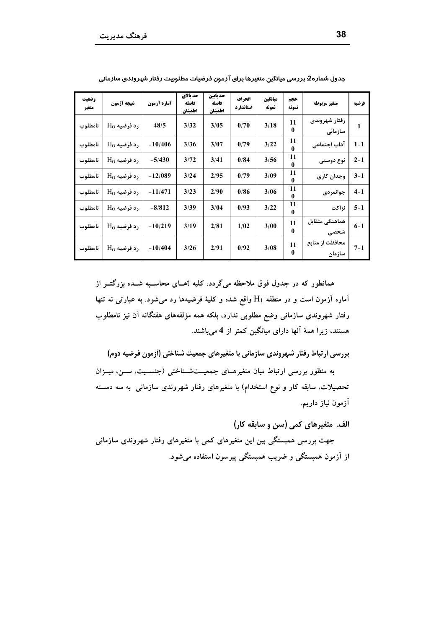| وضعيت<br>متغير | نتيجه آژمون          | آماره آزمون | حد بالای<br>فاصله<br>اطمينان | حد يايين<br>فاصله<br>اطمينان | انحراف<br>استاندارد | ميانگين<br>نمونه | حجم<br>نمونه   | متغير مربوطه              | فرضيه   |
|----------------|----------------------|-------------|------------------------------|------------------------------|---------------------|------------------|----------------|---------------------------|---------|
| نامطلوب        | $\rm H_{O}$ رد فرضیه | 48/5        | 3/32                         | 3/05                         | 0/70                | 3/18             | 11<br>0        | رفتار شهروندى<br>سازمانی  | 1       |
| نامطلوب        | $HO$ رد فرضیه        | $-10/406$   | 3/36                         | 3/07                         | 0/79                | 3/22             | 11<br>$\bf{0}$ | آداب اجتماعي              | $1 - 1$ |
| نامطلوب        | $H_0$ رد فرضیه       | $-5/430$    | 3/72                         | 3/41                         | 0/84                | 3/56             | 11<br>0        | نوع دوستی                 | $2 - 1$ |
| نامطلوب        | $HO$ رد فرضیه        | $-12/089$   | 3/24                         | 2/95                         | 0/79                | 3/09             | 11<br>0        | وجدان كارى                | $3 - 1$ |
| نامطلوب        | $H_0$ رد فرضیه       | $-11/471$   | 3/23                         | 2/90                         | 0/86                | 3/06             | 11<br>0        | جوانمردى                  | $4 - 1$ |
| نامطلوب        | $\rm H_{O}$ رد فرضیه | $-8/812$    | 3/39                         | 3/04                         | 0/93                | 3/22             | 11<br>$\bf{0}$ | نزاكت                     | $5 - 1$ |
| نامطلوب        | $\rm H_{O}$ رد فرضیه | $-10/219$   | 3/19                         | 2/81                         | 1/02                | 3/00             | 11<br>0        | هماهنگی متقابل<br>شخصى    | $6-1$   |
| نامطلوب        | $\rm H_{O}$ رد فرضیه | $-10/404$   | 3/26                         | 2/91                         | 0/92                | 3/08             | 11<br>$\bf{0}$ | محافظت از منابع<br>سازمان | $7 - 1$ |

جدول شماره2: بررسی میانگین متغیرها برای آزمون فرضیات مطلوبیت رفتار شهروندی سازمانی

همانطور که در جدول فوق ملاحظه میگردد، کلیه tهـای محاسـبه شــده بزرگتــر از آماره آزمون است و در منطقه  $\rm{H}_{1}$  واقع شده و کلیهٔ فرضیهها رد میشود. به عبارتی نه تنها رفتار شهروندی سازمانی وضع مطلوبی ندارد، بلکه همه مؤلفههای هفتگانه آن نیز نامطلوب هستند، زیرا همهٔ آنها دارای میانگین کمتر از 4 میباشند.

بررسی ارتباط رفتار شهروندی سازمانی با متغیرهای جمعیت شناختی (آزمون فرضیه دوم)

به منظور بررسی ارتباط میان متغیرهـای جمعیــتشـناختی (جنســیت، ســن، میــزان تحصیلات، سابقه کار و نوع استخدام) با متغیرهای رفتار شهروندی سازمانی به سه دسته آزمون نياز داريم.

الف. متغيرهاي كمي (سن و سابقه كار)

جهت بررسی همبستگی بین این متغیرهای کمی با متغیرهای رفتار شهروندی سازمانی از آزمون همبستگی و ضریب همبستگی پیرسون استفاده میشود.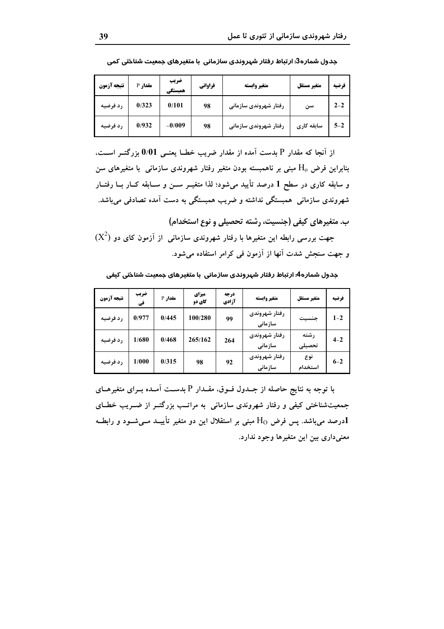| نتيجه آزمون | <b>مقدار P</b> | ضريب<br>همستكي | فراواني | متغير وابسته          | متغير مستقل | فرضيه   |
|-------------|----------------|----------------|---------|-----------------------|-------------|---------|
| رد فرضیه    | 0/323          | 0/101          | 98      | رفتار شهروندی سازمانی | سن          | $2 - 2$ |
| رد فرضيه    | 0/932          | $-0/009$       | 98      | رفتار شهروندی سازمانی | سابقه کاری  | $5 - 2$ |

جدول شماره3: ارتباط رفتار شپروندی سازمانی با متغیرهای جمعیت شناختی کمی

از آنجا که مقدار P بدست آمده از مقدار ضریب خطــا یعنــی 0/01 بزرگتــر اســت، بنابراین فرض  $\rm H_{o}$  مبنی بر ناهمبسته بودن متغیر رفتار شهروندی سازمانی  $\,$  با متغیرهای سن و سابقه کاری در سطح 1 درصد تأیید میشود؛ لذا متغیــر ســن و ســابقه کــار بــا رفتــار شهروندی سازمانی همبستگی نداشته و ضریب همبستگی به دست آمده تصادفی میباشد.

ب. متغیرهای کیفی (جنسیت، رشته تحصیلی و نوع استخدام)

جهت بررسی رابطه این متغیرها با رفتار شهروندی سازمانی  $\,$  از آزمون کای دو  $(X^2)$ و جهت سنجش شدت آنها از آزمون فی کرامر استفاده میشود.

ـددول شماره4: ارتباط رفتار شیروندی سازمانی با متغیرهای حمعیت شناختی کیفی

| نتيجه آزمون | ضريب<br>في | <b>مقدار P</b> | ميزاي<br>کای دو | درجه<br>آزادي | متغير وابسته             | متغير مستقل     | فرضيه   |
|-------------|------------|----------------|-----------------|---------------|--------------------------|-----------------|---------|
| رد فرضیه    | 0/977      | 0/445          | 100/280         | 99            | رفتار شهروندی<br>سازمانی | جنسيت           | $1 - 2$ |
| رد فرضیه    | 1/680      | 0/468          | 265/162         | 264           | رفتار شهروندى<br>سازمانی | , شته<br>تحصيلى | $4 - 2$ |
| رد فرضیه    | 1/000      | 0/315          | 98              | 92            | رفتار شهروندی<br>سازمانی | نوع<br>استخدام  | $6 - 2$ |

با توجه به نتایج حاصله از جــدول فــوق، مقــدار P بدســت آمــده بــرای متغیرهــای جمعیتشناختی کیفی و رفتار شهروندی سازمانی به مراتب بزرگتـر از ضـریب خطـای ادرصد می باشد. پس فرض H0 مبنی بر استقلال این دو متغیر تأییــد مــیشــود و رابطــه ${\bf 1}$ معنی داری بین این متغیرها وجود ندارد.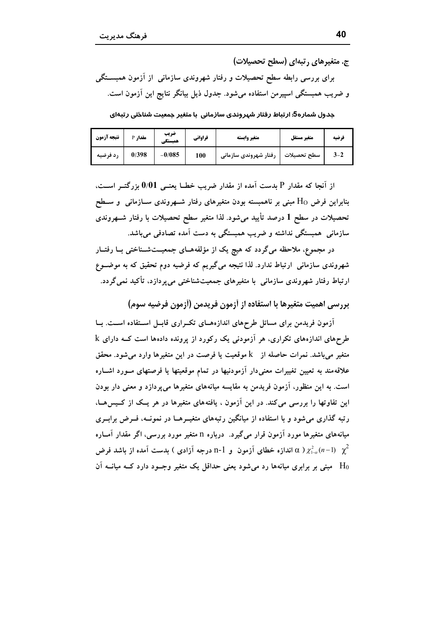ج. متغیرهای , تبهای (سطح تحصیلات)

برای بررسی رابطه سطح تحصیلات و رفتار شهروندی سازمانی از آزمون همبســتگی و ضریب همبستگی اسپیرمن استفاده میشود. جدول ذیل بیانگر نتایج این آزمون است.

جدول شماره5: ارتباط رفتار شهروندی سازمانی با متغیر جمعیت شناختی رتبهای

| نتيجه آزمون | <b>مقدار P</b> | ضريب<br>همبستكي | فراواني | متغير وابسته          | متغير مستقل | ف ضيه   |
|-------------|----------------|-----------------|---------|-----------------------|-------------|---------|
| رد فرضیه    | 0/398          | $-0/085$        | 100     | رفتار شهروندی سازمانی | سطح تحصيلات | $3 - 2$ |

از آنجا که مقدار P بدست آمده از مقدار ضریب خطــا یعنــی 0/01 بزرگتــر اســت، بنابراین فرض Ho مبنی بر ناهمبسته بودن متغیرهای رفتار شــهروندی ســازمانی و ســطح تحصیلات در سطح 1 درصد تأیید میشود. لذا متغیر سطح تحصیلات با رفتار شــهروندی سازمانی همبستگی نداشته و ضریب همبستگی به دست آمده تصادفی میباشد.

در مجموع، ملاحظه میگردد که هیچ یک از مؤلفههــای جمعیـــتشــناختی بــا رفتــار شهروندی سازمانی ارتباط ندارد. لذا نتیجه میگیریم که فرضیه دوم تحقیق که به موضـوع ارتباط رفتار شهروندی سازمانی با متغیرهای جمعیتشناختی می پردازد، تأکید نمیگردد.

بررسي اهميت متغيرها با استفاده از آزمون فريدمن (آزمون فرضيه سوم)

آزمون فریدمن برای مسائل طرحهای اندازههـای تکـراری قابـل اسـتفاده اسـت. بــا طرحهای اندازههای تکراری، هر آزمودنی یک رکورد از پرونده دادهها است کــه دارای k متغیر می باشد. نمرات حاصله از k موقعیت یا فرصت در این متغیرها وارد می شود. محقق علاقهمند به تعیین تغییرات معنیدار آزمودنیها در تمام موقعیتها یا فرصتهای مـورد اشـاره است. به این منظور، آزمون فریدمن به مقایسه میانههای متغیرها می پردازد و معنی دار بودن این تفاوتها را بررسی می کند. در این آزمون ، یافتههای متغیرها در هر یـک از کـیس۵هــا، رتبه گذاری میشود و با استفاده از میانگین رتبههای متغیــرهــا در نمونــه، فــرض برابــری میانههای متغیرها مورد آزمون قرار میگیرد. درباره n متغیر مورد بررسی، اگر مقدار آمــاره درجه آزادی ) بدست آمده از باشد فرض P-1 (بهون و n-1 (بافده از باشد فرض A)  $\chi^2_{1-\alpha}(n-1)$   $\chi^2$ مبنی بر برابری میانهها رد می شود یعنی حداقل یک متغیر وجبود دارد کبه میانیه آن  $\rm H_{0}$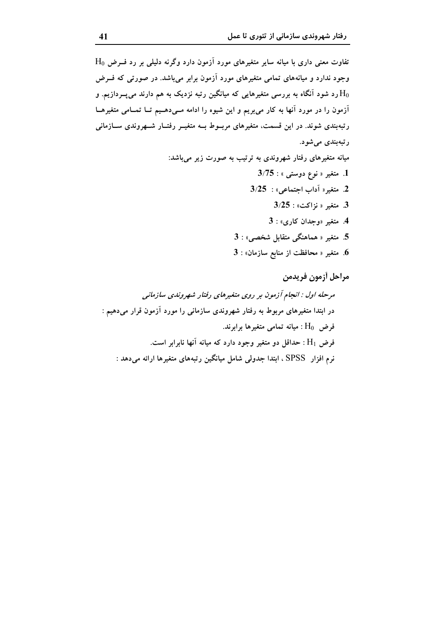مراحل أزمون فريدمن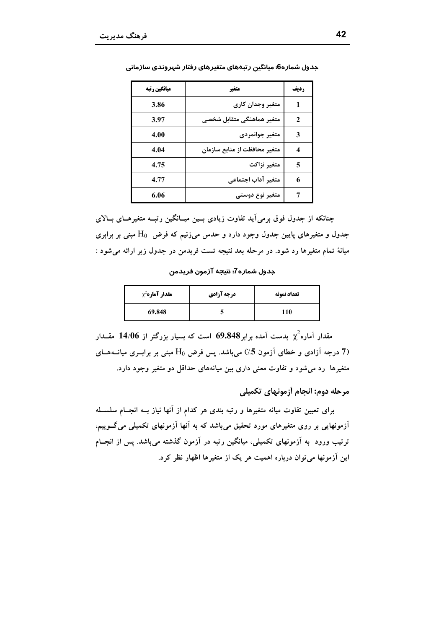| میانگین رتبه | متغير                        | <b>رديف</b> |
|--------------|------------------------------|-------------|
| 3.86         | متغير وجدان كارى             |             |
| 3.97         | متغير هماهنگي متقابل شخصي    | 2           |
| 4.00         | متغير جوانمردى               | 3           |
| 4.04         | متغير محافظت از منابع سازمان | 4           |
| 4.75         | متغير نزاكت                  | 5           |
| 4.77         | متغير آداب اجتماعى           | 6           |
| 6.06         | متغیر نوع دوستی              |             |

جدول شماره6: میانگین رتبههای متغیرهای رفتار شهروندی سازمانی

چنانکه از جدول فوق برمی آید تفاوت زیادی بـین میــانگین رتبــه متغیرهــای بــالای جدول و متغیرهای پایین جدول وجود دارد و حدس میiنیم که فرض  $\rm H_0$  مبنی بر برابری میانهٔ تمام متغیرها رد شود. در مرحله بعد نتیجه تست فریدمن در جدول زیر ارائه می شود :

جدول شماره7: نتيجه آزمون فريدمن

| $\chi^2$ مقدار آماره | درجه آزادي | تعداد نمونه |
|----------------------|------------|-------------|
| 69.848               |            | 110         |

مقدار آماره $\chi^2$  بدست آمده برابر 69.848 است که بسیار بزرگتر از 14/06 مقــدار (7 درجه آزادی و خطای آزمون 5٪) میباشد. پس فرض H<sub>0</sub> مبنی بر برابـری میانــههــای متغیرها رد میشود و تفاوت معنی داری بین میانههای حداقل دو متغیر وجود دارد.

مرحله دوم: انجام أزمونهاي تكميلي

برای تعیین تفاوت میانه متغیرها و رتبه بندی هر کدام از آنها نیاز بــه انجــام سلســله اَزمونهایی بر روی متغیرهای مورد تحقیق می<sub>.</sub>باشد که به اَنها اَزمونهای تکمیل<sub>ی</sub> می *گــ*وییم، ترتیب ورود به آزمونهای تکمیلی، میانگین رتبه در آزمون گذشته میباشد. پس از انجــام این آزمونها می توان درباره اهمیت هر یک از متغیرها اظهار نظر کرد.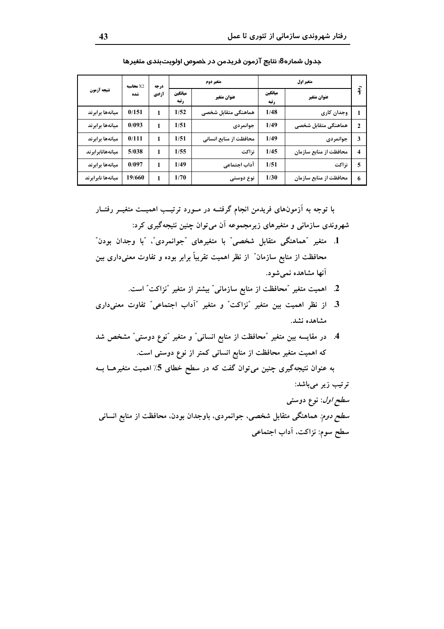|                   | X2 محاسيه | درجه  |                 | متغير دوم              | متغير اول       |                        |                  |
|-------------------|-----------|-------|-----------------|------------------------|-----------------|------------------------|------------------|
| نتيجه آزمون       | شده       | آزادي | ميانگين<br>رتبه | عنوان متغير            | ميانگين<br>رتبه | عنوان متغير            | $\hat{3}$        |
| ميانهها برابرند   | 0/151     | 1     | 1/52            | هماهنگی متقابل شخصی    | 1/48            | وجدان كارى             |                  |
| ميانهها برابرند   | 0/093     |       | 1/51            | جوانمردى               | 1/49            | هماهنگی متقابل شخصی    | $\overline{2}$   |
| ميانهها برابرند   | 0/111     |       | 1/51            | محافظت از منابع انسانی | 1/49            | جوانمردى               | 3                |
| میانههانابر ابرند | 5/038     | 1     | 1/55            | نزاكت                  | 1/45            | محافظت از منابع سازمان | $\boldsymbol{4}$ |
| ميانهها برابرند   | 0/097     | 1     | 1/49            | آداب اجتماعى           | 1/51            | نزاكت                  | 5                |
| ميانهها نابرابرند | 19/660    | 1     | 1/70            | نوع دوستی              | 1/30            | محافظت از منابع سازمان | 6                |

جدول شماره8: نتايج آزمون فريدمن در خصوص اولويتبندي متغيرها

با توجه به آزمونهای فریدمن انجام گرفتــه در مــورد ترتیــب اهمیــت متغیــر رفتــار شهروندي سازماني و متغيرهاي زيرمجموعه آن مي توان چنين نتيجهگيري كرد:

- 1. متغیر "هماهنگی متقابل شخصی " با متغیر های "جوانمر دی"، "با وجدان بو دن" محافظت از منابع سازمان″ از نظر اهمیت تقریباً برابر بوده و تفاوت معنیداری بین آنها مشاهده نمي شود.
	- 2. اهمیت متغیر "محافظت از منابع سازمانی" بیشتر از متغیر "نزاکت" است.
- 3. از نظر اهمیت بین متغیر "نزاکت" و متغیر "آداب اجتماعی" تفاوت معنیداری مشاهده نشد.
- 4. در مقایسه بین متغیر "محافظت از منابع انسانی" و متغیر "نوع دوستی" مشخص شد که اهمیت متغیر محافظت از منابع انسانی کمتر از نوع دوستی است.

به عنوان نتیجهگیری چنین می توان گفت که در سطح خطای 5٪ اهمیت متغیرهــا بــه ترتیب زیر میباشد:

سط*ح اول*: نوع دوستی *سطح دوم:* هماهنگی متقابل شخصی، جوانمردی، باوجدان بودن، محافظت از منابع انسانی سطح سوم: نزاكت، آداب اجتماعي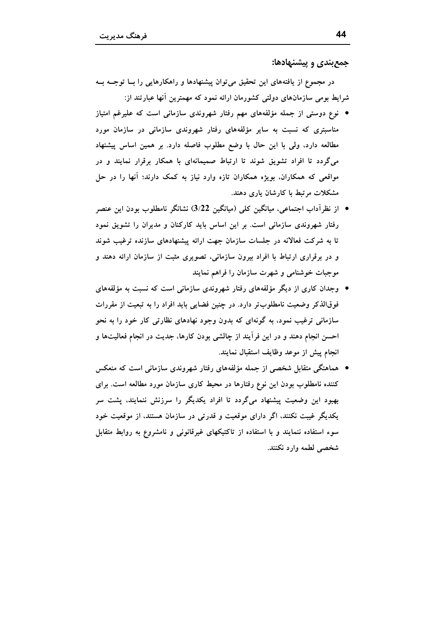جمع بندی و پیشنهادها:

در مجموع از یافتههای این تحقیق میتوان پیشنهادها و راهکارهایی را بــا توجــه بــه شرایط بومی سازمانهای دولتی کشورمان ارائه نمود که مهمترین آنها عبارتند از:

- نوع دوستی از جمله مؤلفههای مهم رفتار شهروندی سازمانی است که علیرغم امتیاز مناسبتری که نسبت به سایر مؤلفههای رفتار شهروندی سازمانی در سازمان مورد مطالعه دارد، ولی با این حال با وضع مطلوب فاصله دارد. بر همین اساس پیشنهاد میگردد تا افراد تشویق شوند تا ارتباط صمیمانهای با همکار برقرار نمایند و در مواقعی که همکاران، بویژه همکاران تازه وارد نیاز به کمک دارند؛ آنها را در حل مشکلات مرتبط با کارشان یاری دهند.
- از نظراًداب اجتماعی، میانگین کلمی (میانگین 3/22) نشانگر نامطلوب بودن این عنصر رفتار شهروندی سازمانی است. بر این اساس باید کارکنان و مدیران را تشویق نمود تا به شرکت فعالانه در جلسات سازمان جهت ارائه پیشنهادهای سازنده ترغیب شوند و در برقراری ارتباط با افراد بیرون سازمانی، تصویری مثبت از سازمان ارائه دهند و موجبات خوشنامی و شهرت سازمان را فراهم نمایند
- وجدان کاری از دیگر مؤلفههای رفتار شهروندی سازمانی است که نسبت به مؤلفههای فوقالذکر وضعیت نامطلوبتر دارد. در چنین فضایی باید افراد را به تبعیت از مقررات سازمانی ترغیب نمود، به گونهای که بدون وجود نهادهای نظارتی کار خود را به نحو احسن انجام دهند و در این فرآیند از چالشی بودن کارها، جدیت در انجام فعالیتها و انجام پیش از موعد وظایف استقبال نمایند.
- هماهنگی متقابل شخصی از جمله مؤلفههای رفتار شهروندی سازمانی است که منعکس کننده نامطلوب بودن این نوع رفتارها در محیط کاری سازمان مورد مطالعه است. برای بهبود این وضعیت پیشنهاد میگردد تا افراد یکدیگر را سرزنش ننمایند، پشت سر یکدیگر غیبت نکنند، اگر دارای موقعیت و قدرتی در سازمان هستند، از موقعیت خود سوء استفاده ننمایند و با استفاده از تاکتیکهای غیرقانونی و نامشروع به روابط متقابل شخصي لطمه وارد نكنند.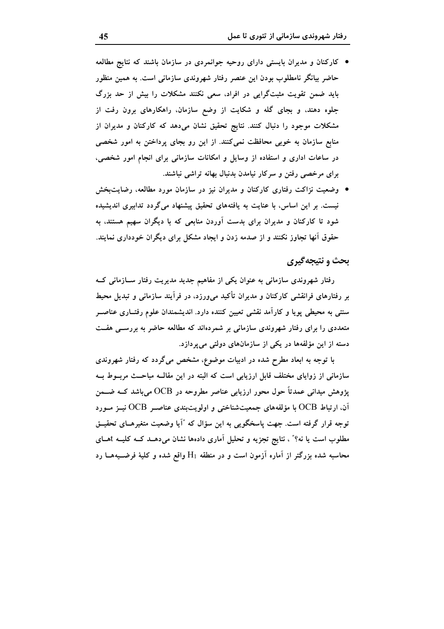- کارکنان و مدیران بایستی دارای روحیه جوانمردی در سازمان باشند که نتایج مطالعه حاضر بیانگر نامطلوب بودن این عنصر رفتار شهروندی سازمانی است. به همین منظور باید ضمن تقویت مثبتگرایی در افراد، سعی نکنند مشکلات را بیش از حد بزرگ جلوه دهند، و بجای گله و شکایت از وضع سازمان، راهکارهای برون رفت از مشکلات موجود را دنبال کنند. نتایج تحقیق نشان میدهد که کارکنان و مدیران از منابع سازمان به خوبی محافظت نمیکنند. از این رو بجای پرداختن به امور شخصی در ساعات اداری و استفاده از وسایل و امکانات سازمانی برای انجام امور شخصی، برای مرخصی رفتن و سرکار نیامدن بدنبال بهانه تراشی نباشند.
- وضعیت نزاکت رفتاری کارکنان و مدیران نیز در سازمان مورد مطالعه، رضایتبخش نیست. بر این اساس، با عنایت به یافتههای تحقیق پیشنهاد میگردد تدابیری اندیشیده شود تا کارکنان و مدیران برای بدست آوردن منابعی که با دیگران سهیم هستند، به حقوق آنها تجاوز نکنند و از صدمه زدن و ایجاد مشکل برای دیگران خودداری نمایند.

## بحث و نتيجه گيري

رفتار شهروندی سازمانی به عنوان یکی از مفاهیم جدید مدیریت رفتار ســازمانی کــه بر رفتارهای فرانقشی کارکنان و مدیران تأکید می0رزد، در فرآیند سازمانی و تبدیل محیط سنتی به محیطی پویا و کارآمد نقشی تعیین کننده دارد. اندیشمندان علوم رفتــاری عناصــر متعددی را برای رفتار شهروندی سازمانی بر شمردهاند که مطالعه حاضر به بررســی هفــت دسته از این مؤلفهها در یکی از سازمانهای دولتی میپردازد.

با توجه به ابعاد مطرح شده در ادبیات موضوع، مشخص میگردد که رفتار شهروندی سازمانی از زوایای مختلف قابل ارزیابی است که البته در این مقالـه مباحـث مربــوط بــه پژوهش میدانی عمدتاً حول محور ارزیابی عناصر مطروحه در OCB میباشد کــه ضــمن آن، ارتباط OCB با مؤلفههای جمعیتشناختی و اولویتبندی عناصـر OCB نیــز مــورد توجه قرار گرفته است. جهت پاسخگویی به این سؤال که "آیا وضعیت متغیرهـای تحقیــق مطلوب است یا نه؟" ، نتایج تجزیه و تحلیل آماری دادهها نشان میدهــد کــه کلیــه tهــای محاسبه شده بزرگتر از آماره آزمون است و در منطقه  $\rm{H}_{1}$  واقع شده و کلیهٔ فرضــیههــا رد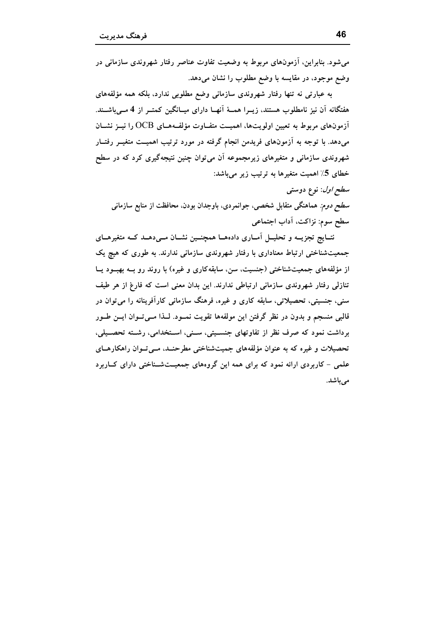می شود. بنابراین، آزمونهای مربوط به وضعیت تفاوت عناصر رفتار شهروندی سازمانی در وضع موجود، در مقايسه با وضع مطلوب را نشان مى دهد.

به عبارتی نه تنها رفتار شهروندی سازمانی وضع مطلوبی ندارد، بلکه همه مؤلفههای هفتگانه اَن نیز نامطلوب هستند، زیــرا همــهٔ اَنهــا دارای میــانگین کمتــر از 4 مــی۱باشــند. آزمونهای مربوط به تعیین اولویتها، اهمیــت متفــاوت مؤلفــههــای OCB را نیــز نشــان میدهد. با توجه به آزمونهای فریدمن انجام گرفته در مورد ترتیب اهمیــت متغیــر رفتــار شهروندی سازمانی و متغیرهای زیرمجموعه آن می¤وان چنین نتیجهگیری کرد که در سطح خطای 5٪ اهمیت متغیرها به ترتیب زیر میباشد:

سط*ح اول*: نوع دوستي س*طح دوم:* هماهنگی متقابل شخصی، جوانمردی، باوجدان بودن، محافظت از منابع سازمانی سطح سوم: نزاكت، آداب اجتماعي

نتــايج تجزيـــه و تحليــل اَمــاري دادهمــا همچنــين نشــان مــيدهــد كــه متغيرهــاي جمعیتشناختی ارتباط معناداری با رفتار شهروندی سازمانی ندارند. به طوری که هیچ یک از مؤلفههای جمعیتشناختی (جنسیت، سن، سابقهکاری و غیره) با روند رو بـه بهبــود یــا تنازلی رفتار شهروندی سازمانی ارتباطی ندارند. این بدان معنی است که فارغ از هر طیف سنبی، جنسیتی، تحصیلاتی، سابقه کاری و غیره، فرهنگ سازمانی کارآفرینانه را می توان در قالبی منسجم و بدون در نظر گرفتن این مولفهها تقویت نمــود. لــذا مــیتــوان ایــن طــور برداشت نمود که صرف نظر از تفاوتهای جنسیتی، سنیی، استخدامی، رشته تحصیلی، تحصیلات و غیره که به عنوان مؤلفههای جمیتشناختی مطرحنـد، مـی تـوان راهکارهـای علمی - کاربردی ارائه نمود که برای همه این گروههای جمعیتشناختی دارای کــاربرد مے باشد.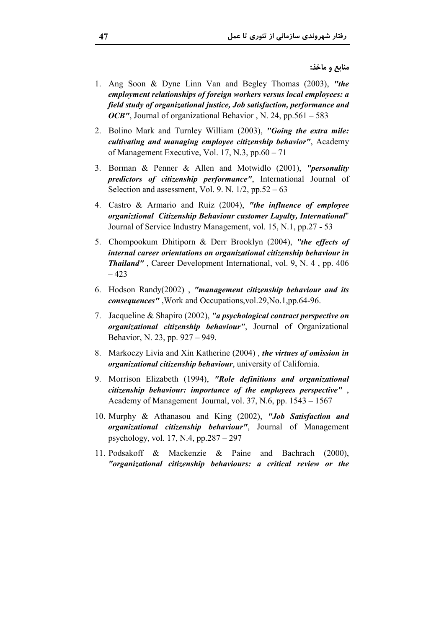منابع و ماخذ:

- 1. Ang Soon & Dyne Linn Van and Begley Thomas (2003), "the employment relationships of foreign workers versus local employees: a field study of organizational justice, Job satisfaction, performance and *OCB''*, Journal of organizational Behavior, N. 24, pp.561 – 583
- 2. Bolino Mark and Turnley William (2003), "Going the extra mile: cultivating and managing employee citizenship behavior", Academy of Management Executive, Vol. 17, N.3, pp.60 – 71
- 3. Borman & Penner & Allen and Motwidlo (2001), "*personality predictors of citizenship performance"*, International Journal of Selection and assessment, Vol. 9. N.  $1/2$ , pp.52 – 63
- 4. Castro & Armario and Ruiz (2004), "the influence of employee organiztional Citizenship Behaviour customer Layalty, International" Journal of Service Industry Management, vol. 15, N.1, pp.27 - 53
- 5. Chompookum Dhitiporn & Derr Brooklyn (2004), "the effects of internal career orientations on organizational citizenship behaviour in *Thailand"*, Career Development International, vol. 9, N. 4, pp. 406  $-423$
- 6. Hodson Randy(2002), "management citizenship behaviour and its consequences", Work and Occupations, vol.29, No.1, pp.64-96.
- 7. Jacqueline & Shapiro (2002), "a psychological contract perspective on organizational citizenship behaviour", Journal of Organizational Behavior, N. 23, pp. 927 – 949.
- 8. Markoczy Livia and Xin Katherine (2004), the virtues of omission in organizational citizenship behaviour, university of California.
- 9. Morrison Elizabeth (1994), "Role definitions and organizational citizenship behaviour: importance of the employees perspective". Academy of Management Journal, vol. 37, N.6, pp. 1543 – 1567
- 10. Murphy & Athanasou and King (2002), "Job Satisfaction and organizational citizenship behaviour", Journal of Management psychology, vol. 17, N.4, pp.287 – 297
- 11. Podsakoff & Mackenzie & Paine and Bachrach  $(2000)$ . "organizational citizenship behaviours: a critical review or the